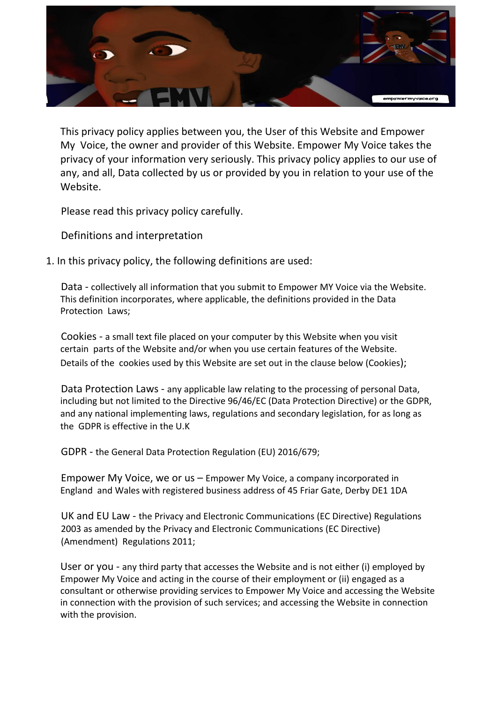

This privacy policy applies between you, the User of this Website and Empower My Voice, the owner and provider of this Website. Empower My Voice takes the privacy of your information very seriously. This privacy policy applies to our use of any, and all, Data collected by us or provided by you in relation to your use of the Website.

Please read this privacy policy carefully.

Definitions and interpretation

1. In this privacy policy, the following definitions are used:

Data - collectively all information that you submit to Empower MY Voice via the Website. This definition incorporates, where applicable, the definitions provided in the Data Protection Laws;

Cookies - a small text file placed on your computer by this Website when you visit certain parts of the Website and/or when you use certain features of the Website. Details of the cookies used by this Website are set out in the clause below (Cookies);

Data Protection Laws - any applicable law relating to the processing of personal Data, including but not limited to the Directive 96/46/EC (Data Protection Directive) or the GDPR, and any national implementing laws, regulations and secondary legislation, for as long as the GDPR is effective in the U.K

GDPR - the General Data Protection Regulation (EU) 2016/679;

Empower My Voice, we or us – Empower My Voice, a company incorporated in England and Wales with registered business address of 45 Friar Gate, Derby DE1 1DA

UK and EU Law - the Privacy and Electronic Communications (EC Directive) Regulations 2003 as amended by the Privacy and Electronic Communications (EC Directive) (Amendment) Regulations 2011;

User or you - any third party that accesses the Website and is not either (i) employed by Empower My Voice and acting in the course of their employment or (ii) engaged as a consultant or otherwise providing services to Empower My Voice and accessing the Website in connection with the provision of such services; and accessing the Website in connection with the provision.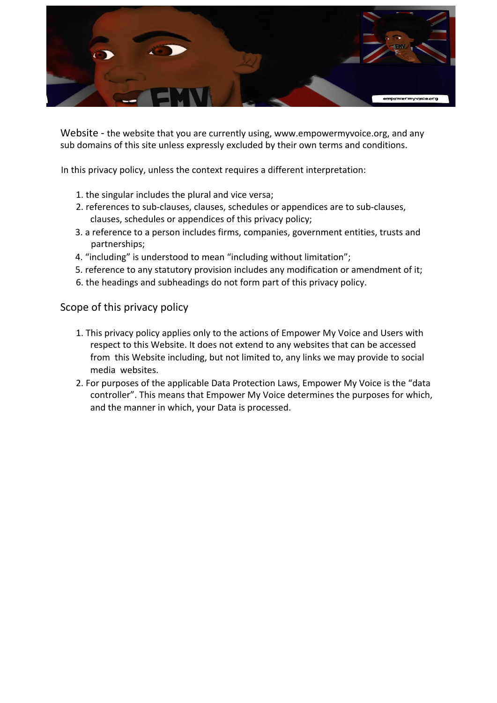

Website - the website that you are currently using, www.empowermyvoice.org, and any sub domains of this site unless expressly excluded by their own terms and conditions.

In this privacy policy, unless the context requires a different interpretation:

- 1. the singular includes the plural and vice versa;
- 2. references to sub-clauses, clauses, schedules or appendices are to sub-clauses, clauses, schedules or appendices of this privacy policy;
- 3. a reference to a person includes firms, companies, government entities, trusts and partnerships;
- 4. "including" is understood to mean "including without limitation";
- 5. reference to any statutory provision includes any modification or amendment of it;
- 6. the headings and subheadings do not form part of this privacy policy.

Scope of this privacy policy

- 1. This privacy policy applies only to the actions of Empower My Voice and Users with respect to this Website. It does not extend to any websites that can be accessed from this Website including, but not limited to, any links we may provide to social media websites.
- 2. For purposes of the applicable Data Protection Laws, Empower My Voice is the "data controller". This means that Empower My Voice determines the purposes for which, and the manner in which, your Data is processed.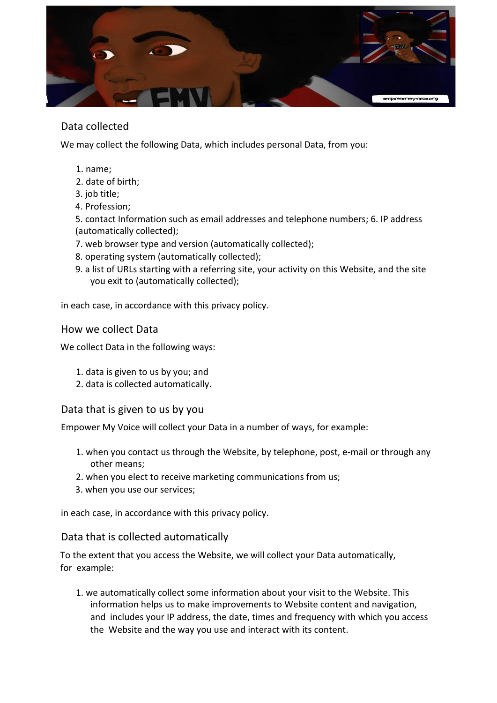

# Data collected

We may collect the following Data, which includes personal Data, from you:

- 1. name;
- 2. date of birth;
- 3. job title;
- 4. Profession;

5. contact Information such as email addresses and telephone numbers; 6. IP address (automatically collected);

- 7. web browser type and version (automatically collected);
- 8. operating system (automatically collected);
- 9. a list of URLs starting with a referring site, your activity on this Website, and the site you exit to (automatically collected);

in each case, in accordance with this privacy policy.

#### How we collect Data

We collect Data in the following ways:

- 1. data is given to us by you; and
- 2. data is collected automatically.

Data that is given to us by you

Empower My Voice will collect your Data in a number of ways, for example:

- 1. when you contact us through the Website, by telephone, post, e-mail or through any other means;
- 2. when you elect to receive marketing communications from us;
- 3. when you use our services;

in each case, in accordance with this privacy policy.

#### Data that is collected automatically

To the extent that you access the Website, we will collect your Data automatically, for example:

1. we automatically collect some information about your visit to the Website. This information helps us to make improvements to Website content and navigation, and includes your IP address, the date, times and frequency with which you access the Website and the way you use and interact with its content.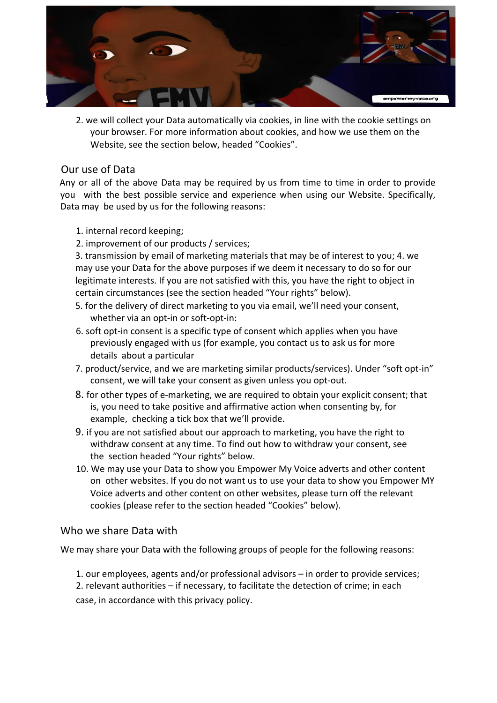

2. we will collect your Data automatically via cookies, in line with the cookie settings on your browser. For more information about cookies, and how we use them on the Website, see the section below, headed "Cookies".

### Our use of Data

Any or all of the above Data may be required by us from time to time in order to provide you with the best possible service and experience when using our Website. Specifically, Data may be used by us for the following reasons:

- 1. internal record keeping;
- 2. improvement of our products / services;

3. transmission by email of marketing materials that may be of interest to you; 4. we may use your Data for the above purposes if we deem it necessary to do so for our legitimate interests. If you are not satisfied with this, you have the right to object in certain circumstances (see the section headed "Your rights" below).

- 5. for the delivery of direct marketing to you via email, we'll need your consent, whether via an opt-in or soft-opt-in:
- 6. soft opt-in consent is a specific type of consent which applies when you have previously engaged with us (for example, you contact us to ask us for more details about a particular
- 7. product/service, and we are marketing similar products/services). Under "soft opt-in" consent, we will take your consent as given unless you opt-out.
- 8. for other types of e-marketing, we are required to obtain your explicit consent; that is, you need to take positive and affirmative action when consenting by, for example, checking a tick box that we'll provide.
- 9. if you are not satisfied about our approach to marketing, you have the right to withdraw consent at any time. To find out how to withdraw your consent, see the section headed "Your rights" below.
- 10. We may use your Data to show you Empower My Voice adverts and other content on other websites. If you do not want us to use your data to show you Empower MY Voice adverts and other content on other websites, please turn off the relevant cookies (please refer to the section headed "Cookies" below).

#### Who we share Data with

We may share your Data with the following groups of people for the following reasons:

1. our employees, agents and/or professional advisors – in order to provide services; 2. relevant authorities – if necessary, to facilitate the detection of crime; in each case, in accordance with this privacy policy.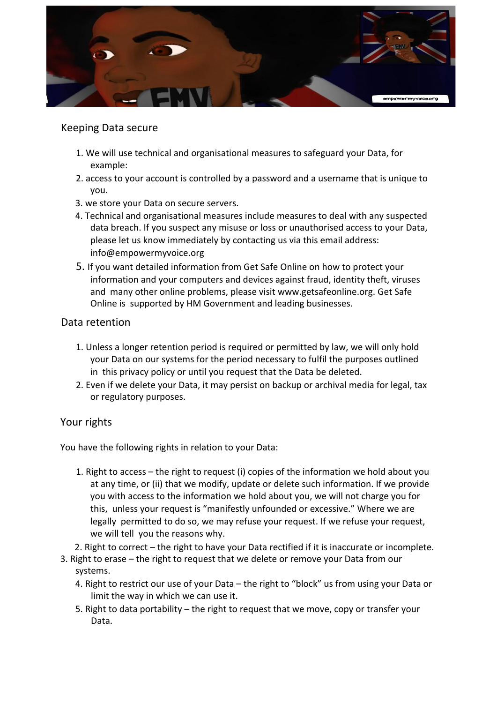

## Keeping Data secure

- 1. We will use technical and organisational measures to safeguard your Data, for example:
- 2. access to your account is controlled by a password and a username that is unique to you.
- 3. we store your Data on secure servers.
- 4. Technical and organisational measures include measures to deal with any suspected data breach. If you suspect any misuse or loss or unauthorised access to your Data, please let us know immediately by contacting us via this email address: info@empowermyvoice.org
- 5. If you want detailed information from Get Safe Online on how to protect your information and your computers and devices against fraud, identity theft, viruses and many other online problems, please visit www.getsafeonline.org. Get Safe Online is supported by HM Government and leading businesses.

### Data retention

- 1. Unless a longer retention period is required or permitted by law, we will only hold your Data on our systems for the period necessary to fulfil the purposes outlined in this privacy policy or until you request that the Data be deleted.
- 2. Even if we delete your Data, it may persist on backup or archival media for legal, tax or regulatory purposes.

## Your rights

You have the following rights in relation to your Data:

- 1. Right to access the right to request (i) copies of the information we hold about you at any time, or (ii) that we modify, update or delete such information. If we provide you with access to the information we hold about you, we will not charge you for this, unless your request is "manifestly unfounded or excessive." Where we are legally permitted to do so, we may refuse your request. If we refuse your request, we will tell you the reasons why.
- 2. Right to correct the right to have your Data rectified if it is inaccurate or incomplete.
- 3. Right to erase the right to request that we delete or remove your Data from our systems.
	- 4. Right to restrict our use of your Data the right to "block" us from using your Data or limit the way in which we can use it.
	- 5. Right to data portability the right to request that we move, copy or transfer your Data.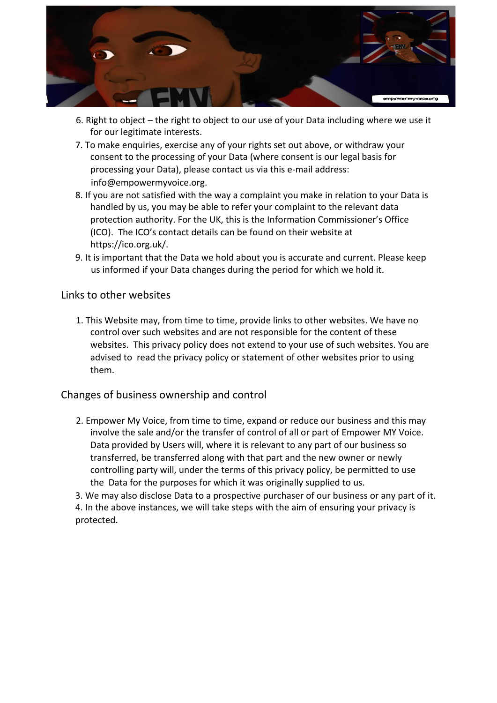

- 6. Right to object the right to object to our use of your Data including where we use it for our legitimate interests.
- 7. To make enquiries, exercise any of your rights set out above, or withdraw your consent to the processing of your Data (where consent is our legal basis for processing your Data), please contact us via this e-mail address: info@empowermyvoice.org.
- 8. If you are not satisfied with the way a complaint you make in relation to your Data is handled by us, you may be able to refer your complaint to the relevant data protection authority. For the UK, this is the Information Commissioner's Office (ICO). The ICO's contact details can be found on their website at https://ico.org.uk/.
- 9. It is important that the Data we hold about you is accurate and current. Please keep us informed if your Data changes during the period for which we hold it.

### Links to other websites

1. This Website may, from time to time, provide links to other websites. We have no control over such websites and are not responsible for the content of these websites. This privacy policy does not extend to your use of such websites. You are advised to read the privacy policy or statement of other websites prior to using them.

## Changes of business ownership and control

2. Empower My Voice, from time to time, expand or reduce our business and this may involve the sale and/or the transfer of control of all or part of Empower MY Voice. Data provided by Users will, where it is relevant to any part of our business so transferred, be transferred along with that part and the new owner or newly controlling party will, under the terms of this privacy policy, be permitted to use the Data for the purposes for which it was originally supplied to us.

3. We may also disclose Data to a prospective purchaser of our business or any part of it.

4. In the above instances, we will take steps with the aim of ensuring your privacy is protected.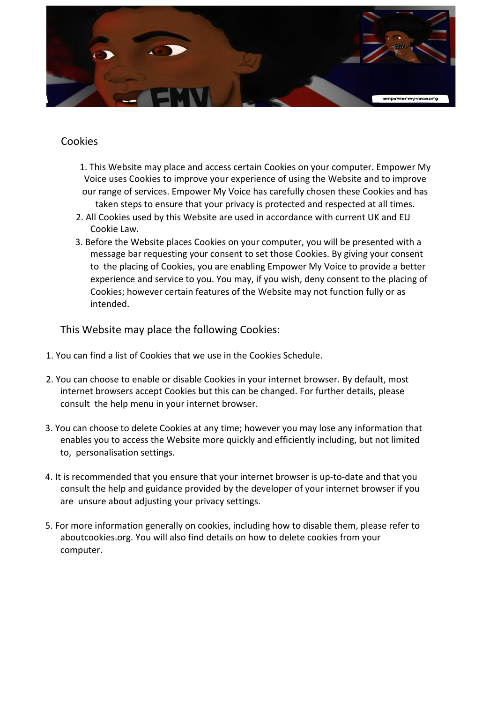

## Cookies

- 1. This Website may place and access certain Cookies on your computer. Empower My Voice uses Cookies to improve your experience of using the Website and to improve our range of services. Empower My Voice has carefully chosen these Cookies and has taken steps to ensure that your privacy is protected and respected at all times.
- 2. All Cookies used by this Website are used in accordance with current UK and EU Cookie Law.
- 3. Before the Website places Cookies on your computer, you will be presented with a message bar requesting your consent to set those Cookies. By giving your consent to the placing of Cookies, you are enabling Empower My Voice to provide a better experience and service to you. You may, if you wish, deny consent to the placing of Cookies; however certain features of the Website may not function fully or as intended.

This Website may place the following Cookies:

- 1. You can find a list of Cookies that we use in the Cookies Schedule.
- 2. You can choose to enable or disable Cookies in your internet browser. By default, most internet browsers accept Cookies but this can be changed. For further details, please consult the help menu in your internet browser.
- 3. You can choose to delete Cookies at any time; however you may lose any information that enables you to access the Website more quickly and efficiently including, but not limited to, personalisation settings.
- 4. It is recommended that you ensure that your internet browser is up-to-date and that you consult the help and guidance provided by the developer of your internet browser if you are unsure about adjusting your privacy settings.
- 5. For more information generally on cookies, including how to disable them, please refer to aboutcookies.org. You will also find details on how to delete cookies from your computer.